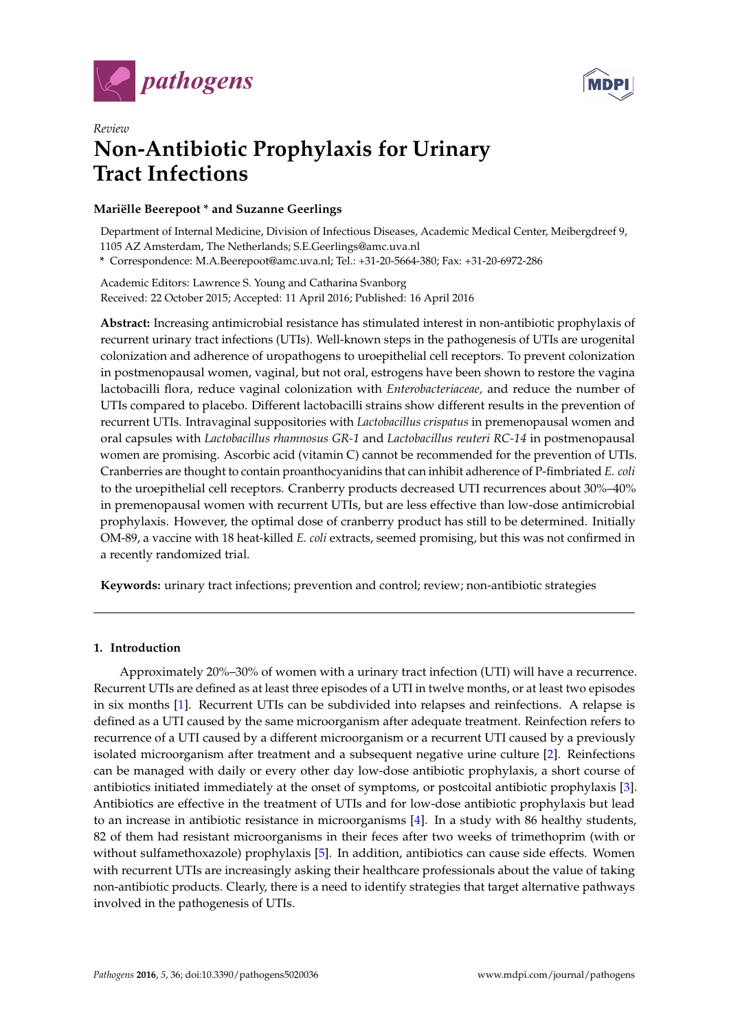



# *Review* **Non-Antibiotic Prophylaxis for Urinary Tract Infections**

# **Mariëlle Beerepoot \* and Suzanne Geerlings**

Department of Internal Medicine, Division of Infectious Diseases, Academic Medical Center, Meibergdreef 9, 1105 AZ Amsterdam, The Netherlands; S.E.Geerlings@amc.uva.nl **\*** Correspondence: M.A.Beerepoot@amc.uva.nl; Tel.: +31-20-5664-380; Fax: +31-20-6972-286

Academic Editors: Lawrence S. Young and Catharina Svanborg Received: 22 October 2015; Accepted: 11 April 2016; Published: 16 April 2016

**Abstract:** Increasing antimicrobial resistance has stimulated interest in non-antibiotic prophylaxis of recurrent urinary tract infections (UTIs). Well-known steps in the pathogenesis of UTIs are urogenital colonization and adherence of uropathogens to uroepithelial cell receptors. To prevent colonization in postmenopausal women, vaginal, but not oral, estrogens have been shown to restore the vagina lactobacilli flora, reduce vaginal colonization with *Enterobacteriaceae,* and reduce the number of UTIs compared to placebo. Different lactobacilli strains show different results in the prevention of recurrent UTIs. Intravaginal suppositories with *Lactobacillus crispatus* in premenopausal women and oral capsules with *Lactobacillus rhamnosus GR-1* and *Lactobacillus reuteri RC-14* in postmenopausal women are promising. Ascorbic acid (vitamin C) cannot be recommended for the prevention of UTIs. Cranberries are thought to contain proanthocyanidins that can inhibit adherence of P-fimbriated *E. coli* to the uroepithelial cell receptors. Cranberry products decreased UTI recurrences about 30%–40% in premenopausal women with recurrent UTIs, but are less effective than low-dose antimicrobial prophylaxis. However, the optimal dose of cranberry product has still to be determined. Initially OM-89, a vaccine with 18 heat-killed *E. coli* extracts, seemed promising, but this was not confirmed in a recently randomized trial.

**Keywords:** urinary tract infections; prevention and control; review; non-antibiotic strategies

# **1. Introduction**

Approximately 20%–30% of women with a urinary tract infection (UTI) will have a recurrence. Recurrent UTIs are defined as at least three episodes of a UTI in twelve months, or at least two episodes in six months [\[1\]](#page-5-0). Recurrent UTIs can be subdivided into relapses and reinfections. A relapse is defined as a UTI caused by the same microorganism after adequate treatment. Reinfection refers to recurrence of a UTI caused by a different microorganism or a recurrent UTI caused by a previously isolated microorganism after treatment and a subsequent negative urine culture [\[2\]](#page-5-1). Reinfections can be managed with daily or every other day low-dose antibiotic prophylaxis, a short course of antibiotics initiated immediately at the onset of symptoms, or postcoital antibiotic prophylaxis [\[3\]](#page-5-2). Antibiotics are effective in the treatment of UTIs and for low-dose antibiotic prophylaxis but lead to an increase in antibiotic resistance in microorganisms [\[4\]](#page-5-3). In a study with 86 healthy students, 82 of them had resistant microorganisms in their feces after two weeks of trimethoprim (with or without sulfamethoxazole) prophylaxis [\[5\]](#page-5-4). In addition, antibiotics can cause side effects. Women with recurrent UTIs are increasingly asking their healthcare professionals about the value of taking non-antibiotic products. Clearly, there is a need to identify strategies that target alternative pathways involved in the pathogenesis of UTIs.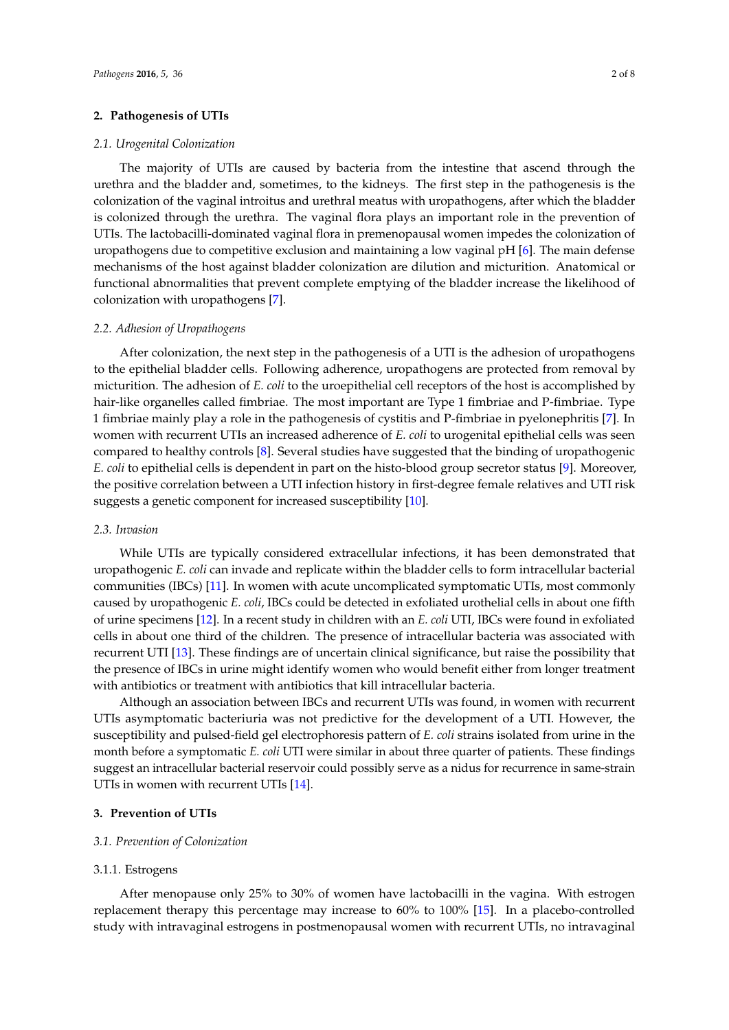#### **2. Pathogenesis of UTIs**

#### *2.1. Urogenital Colonization*

The majority of UTIs are caused by bacteria from the intestine that ascend through the urethra and the bladder and, sometimes, to the kidneys. The first step in the pathogenesis is the colonization of the vaginal introitus and urethral meatus with uropathogens, after which the bladder is colonized through the urethra. The vaginal flora plays an important role in the prevention of UTIs. The lactobacilli-dominated vaginal flora in premenopausal women impedes the colonization of uropathogens due to competitive exclusion and maintaining a low vaginal pH [\[6\]](#page-5-5). The main defense mechanisms of the host against bladder colonization are dilution and micturition. Anatomical or functional abnormalities that prevent complete emptying of the bladder increase the likelihood of colonization with uropathogens [\[7\]](#page-5-6).

#### *2.2. Adhesion of Uropathogens*

After colonization, the next step in the pathogenesis of a UTI is the adhesion of uropathogens to the epithelial bladder cells. Following adherence, uropathogens are protected from removal by micturition. The adhesion of *E. coli* to the uroepithelial cell receptors of the host is accomplished by hair-like organelles called fimbriae. The most important are Type 1 fimbriae and P-fimbriae. Type 1 fimbriae mainly play a role in the pathogenesis of cystitis and P-fimbriae in pyelonephritis [\[7\]](#page-5-6). In women with recurrent UTIs an increased adherence of *E. coli* to urogenital epithelial cells was seen compared to healthy controls [\[8\]](#page-5-7). Several studies have suggested that the binding of uropathogenic *E. coli* to epithelial cells is dependent in part on the histo-blood group secretor status [\[9\]](#page-5-8). Moreover, the positive correlation between a UTI infection history in first-degree female relatives and UTI risk suggests a genetic component for increased susceptibility [\[10\]](#page-6-0).

# *2.3. Invasion*

While UTIs are typically considered extracellular infections, it has been demonstrated that uropathogenic *E. coli* can invade and replicate within the bladder cells to form intracellular bacterial communities (IBCs) [\[11\]](#page-6-1). In women with acute uncomplicated symptomatic UTIs, most commonly caused by uropathogenic *E. coli*, IBCs could be detected in exfoliated urothelial cells in about one fifth of urine specimens [\[12\]](#page-6-2). In a recent study in children with an *E. coli* UTI, IBCs were found in exfoliated cells in about one third of the children. The presence of intracellular bacteria was associated with recurrent UTI [\[13\]](#page-6-3). These findings are of uncertain clinical significance, but raise the possibility that the presence of IBCs in urine might identify women who would benefit either from longer treatment with antibiotics or treatment with antibiotics that kill intracellular bacteria.

Although an association between IBCs and recurrent UTIs was found, in women with recurrent UTIs asymptomatic bacteriuria was not predictive for the development of a UTI. However, the susceptibility and pulsed-field gel electrophoresis pattern of *E. coli* strains isolated from urine in the month before a symptomatic *E. coli* UTI were similar in about three quarter of patients. These findings suggest an intracellular bacterial reservoir could possibly serve as a nidus for recurrence in same-strain UTIs in women with recurrent UTIs [\[14\]](#page-6-4).

# **3. Prevention of UTIs**

## *3.1. Prevention of Colonization*

#### 3.1.1. Estrogens

After menopause only 25% to 30% of women have lactobacilli in the vagina. With estrogen replacement therapy this percentage may increase to 60% to 100% [\[15\]](#page-6-5). In a placebo-controlled study with intravaginal estrogens in postmenopausal women with recurrent UTIs, no intravaginal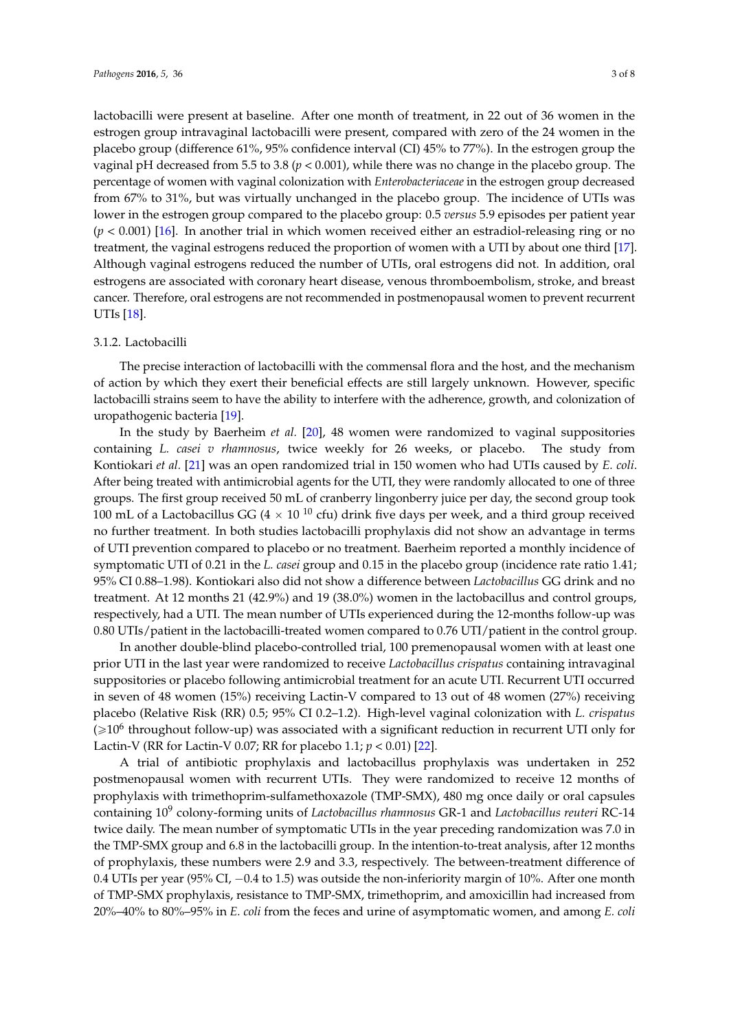lactobacilli were present at baseline. After one month of treatment, in 22 out of 36 women in the estrogen group intravaginal lactobacilli were present, compared with zero of the 24 women in the placebo group (difference 61%, 95% confidence interval (CI) 45% to 77%). In the estrogen group the vaginal pH decreased from 5.5 to 3.8 (*p* < 0.001), while there was no change in the placebo group. The percentage of women with vaginal colonization with *Enterobacteriaceae* in the estrogen group decreased from 67% to 31%, but was virtually unchanged in the placebo group. The incidence of UTIs was lower in the estrogen group compared to the placebo group: 0.5 *versus* 5.9 episodes per patient year (*p* < 0.001) [\[16\]](#page-6-6). In another trial in which women received either an estradiol-releasing ring or no treatment, the vaginal estrogens reduced the proportion of women with a UTI by about one third [\[17\]](#page-6-7). Although vaginal estrogens reduced the number of UTIs, oral estrogens did not. In addition, oral estrogens are associated with coronary heart disease, venous thromboembolism, stroke, and breast cancer. Therefore, oral estrogens are not recommended in postmenopausal women to prevent recurrent UTIs [\[18\]](#page-6-8).

#### 3.1.2. Lactobacilli

The precise interaction of lactobacilli with the commensal flora and the host, and the mechanism of action by which they exert their beneficial effects are still largely unknown. However, specific lactobacilli strains seem to have the ability to interfere with the adherence, growth, and colonization of uropathogenic bacteria [\[19\]](#page-6-9).

In the study by Baerheim *et al.* [\[20\]](#page-6-10), 48 women were randomized to vaginal suppositories containing *L. casei v rhamnosus*, twice weekly for 26 weeks, or placebo. The study from Kontiokari *et al.* [\[21\]](#page-6-11) was an open randomized trial in 150 women who had UTIs caused by *E. coli*. After being treated with antimicrobial agents for the UTI, they were randomly allocated to one of three groups. The first group received 50 mL of cranberry lingonberry juice per day, the second group took 100 mL of a Lactobacillus GG (4  $\times$  10  $^{10}$  cfu) drink five days per week, and a third group received no further treatment. In both studies lactobacilli prophylaxis did not show an advantage in terms of UTI prevention compared to placebo or no treatment. Baerheim reported a monthly incidence of symptomatic UTI of 0.21 in the *L. casei* group and 0.15 in the placebo group (incidence rate ratio 1.41; 95% CI 0.88–1.98). Kontiokari also did not show a difference between *Lactobacillus* GG drink and no treatment. At 12 months 21 (42.9%) and 19 (38.0%) women in the lactobacillus and control groups, respectively, had a UTI. The mean number of UTIs experienced during the 12-months follow-up was 0.80 UTIs/patient in the lactobacilli-treated women compared to 0.76 UTI/patient in the control group.

In another double-blind placebo-controlled trial, 100 premenopausal women with at least one prior UTI in the last year were randomized to receive *Lactobacillus crispatus* containing intravaginal suppositories or placebo following antimicrobial treatment for an acute UTI. Recurrent UTI occurred in seven of 48 women (15%) receiving Lactin-V compared to 13 out of 48 women (27%) receiving placebo (Relative Risk (RR) 0.5; 95% CI 0.2–1.2). High-level vaginal colonization with *L. crispatus*  $(\geqslant 10^6$  throughout follow-up) was associated with a significant reduction in recurrent UTI only for Lactin-V (RR for Lactin-V 0.07; RR for placebo 1.1; *p* < 0.01) [\[22\]](#page-6-12).

A trial of antibiotic prophylaxis and lactobacillus prophylaxis was undertaken in 252 postmenopausal women with recurrent UTIs. They were randomized to receive 12 months of prophylaxis with trimethoprim-sulfamethoxazole (TMP-SMX), 480 mg once daily or oral capsules containing 10<sup>9</sup> colony-forming units of *Lactobacillus rhamnosus* GR-1 and *Lactobacillus reuteri* RC-14 twice daily. The mean number of symptomatic UTIs in the year preceding randomization was 7.0 in the TMP-SMX group and 6.8 in the lactobacilli group. In the intention-to-treat analysis, after 12 months of prophylaxis, these numbers were 2.9 and 3.3, respectively. The between-treatment difference of 0.4 UTIs per year (95% CI,  $-0.4$  to 1.5) was outside the non-inferiority margin of 10%. After one month of TMP-SMX prophylaxis, resistance to TMP-SMX, trimethoprim, and amoxicillin had increased from 20%–40% to 80%–95% in *E. coli* from the feces and urine of asymptomatic women, and among *E. coli*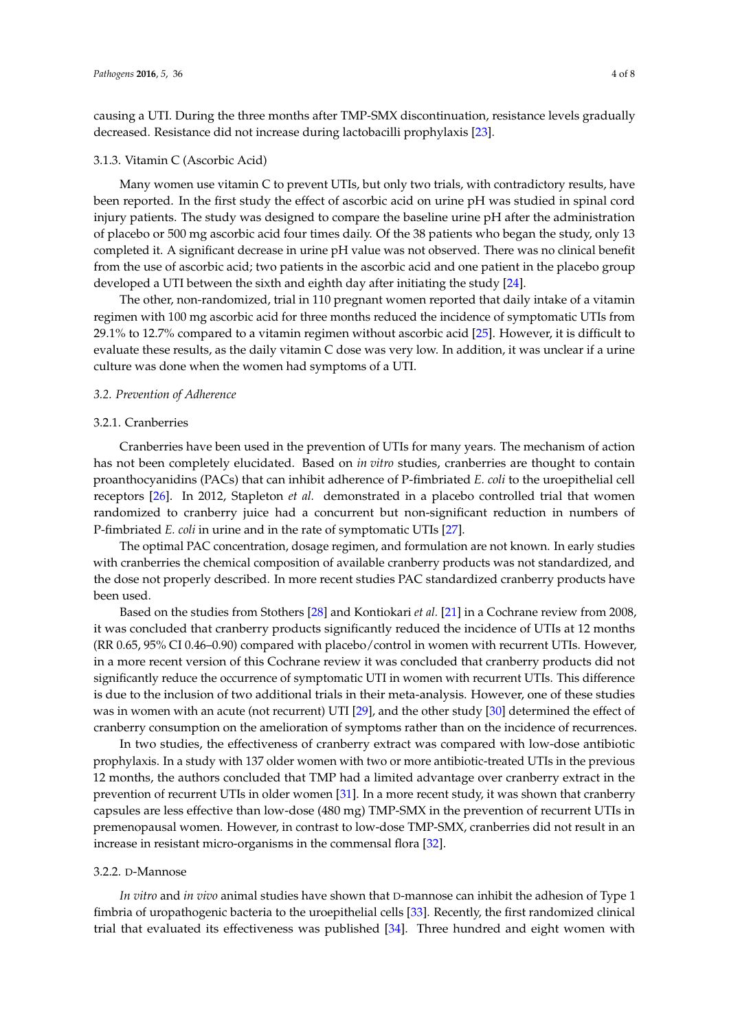causing a UTI. During the three months after TMP-SMX discontinuation, resistance levels gradually decreased. Resistance did not increase during lactobacilli prophylaxis [\[23\]](#page-6-13).

#### 3.1.3. Vitamin C (Ascorbic Acid)

Many women use vitamin C to prevent UTIs, but only two trials, with contradictory results, have been reported. In the first study the effect of ascorbic acid on urine pH was studied in spinal cord injury patients. The study was designed to compare the baseline urine pH after the administration of placebo or 500 mg ascorbic acid four times daily. Of the 38 patients who began the study, only 13 completed it. A significant decrease in urine pH value was not observed. There was no clinical benefit from the use of ascorbic acid; two patients in the ascorbic acid and one patient in the placebo group developed a UTI between the sixth and eighth day after initiating the study [\[24\]](#page-6-14).

The other, non-randomized, trial in 110 pregnant women reported that daily intake of a vitamin regimen with 100 mg ascorbic acid for three months reduced the incidence of symptomatic UTIs from 29.1% to 12.7% compared to a vitamin regimen without ascorbic acid [\[25\]](#page-6-15). However, it is difficult to evaluate these results, as the daily vitamin C dose was very low. In addition, it was unclear if a urine culture was done when the women had symptoms of a UTI.

#### *3.2. Prevention of Adherence*

# 3.2.1. Cranberries

Cranberries have been used in the prevention of UTIs for many years. The mechanism of action has not been completely elucidated. Based on *in vitro* studies, cranberries are thought to contain proanthocyanidins (PACs) that can inhibit adherence of P-fimbriated *E. coli* to the uroepithelial cell receptors [\[26\]](#page-6-16). In 2012, Stapleton *et al.* demonstrated in a placebo controlled trial that women randomized to cranberry juice had a concurrent but non-significant reduction in numbers of P-fimbriated *E. coli* in urine and in the rate of symptomatic UTIs [\[27\]](#page-6-17).

The optimal PAC concentration, dosage regimen, and formulation are not known. In early studies with cranberries the chemical composition of available cranberry products was not standardized, and the dose not properly described. In more recent studies PAC standardized cranberry products have been used.

Based on the studies from Stothers [\[28\]](#page-7-0) and Kontiokari *et al.* [\[21\]](#page-6-11) in a Cochrane review from 2008, it was concluded that cranberry products significantly reduced the incidence of UTIs at 12 months (RR 0.65, 95% CI 0.46–0.90) compared with placebo/control in women with recurrent UTIs. However, in a more recent version of this Cochrane review it was concluded that cranberry products did not significantly reduce the occurrence of symptomatic UTI in women with recurrent UTIs. This difference is due to the inclusion of two additional trials in their meta-analysis. However, one of these studies was in women with an acute (not recurrent) UTI [\[29\]](#page-7-1), and the other study [\[30\]](#page-7-2) determined the effect of cranberry consumption on the amelioration of symptoms rather than on the incidence of recurrences.

In two studies, the effectiveness of cranberry extract was compared with low-dose antibiotic prophylaxis. In a study with 137 older women with two or more antibiotic-treated UTIs in the previous 12 months, the authors concluded that TMP had a limited advantage over cranberry extract in the prevention of recurrent UTIs in older women [\[31\]](#page-7-3). In a more recent study, it was shown that cranberry capsules are less effective than low-dose (480 mg) TMP-SMX in the prevention of recurrent UTIs in premenopausal women. However, in contrast to low-dose TMP-SMX, cranberries did not result in an increase in resistant micro-organisms in the commensal flora [\[32\]](#page-7-4).

#### 3.2.2. D-Mannose

*In vitro* and *in vivo* animal studies have shown that D-mannose can inhibit the adhesion of Type 1 fimbria of uropathogenic bacteria to the uroepithelial cells [\[33\]](#page-7-5). Recently, the first randomized clinical trial that evaluated its effectiveness was published [\[34\]](#page-7-6). Three hundred and eight women with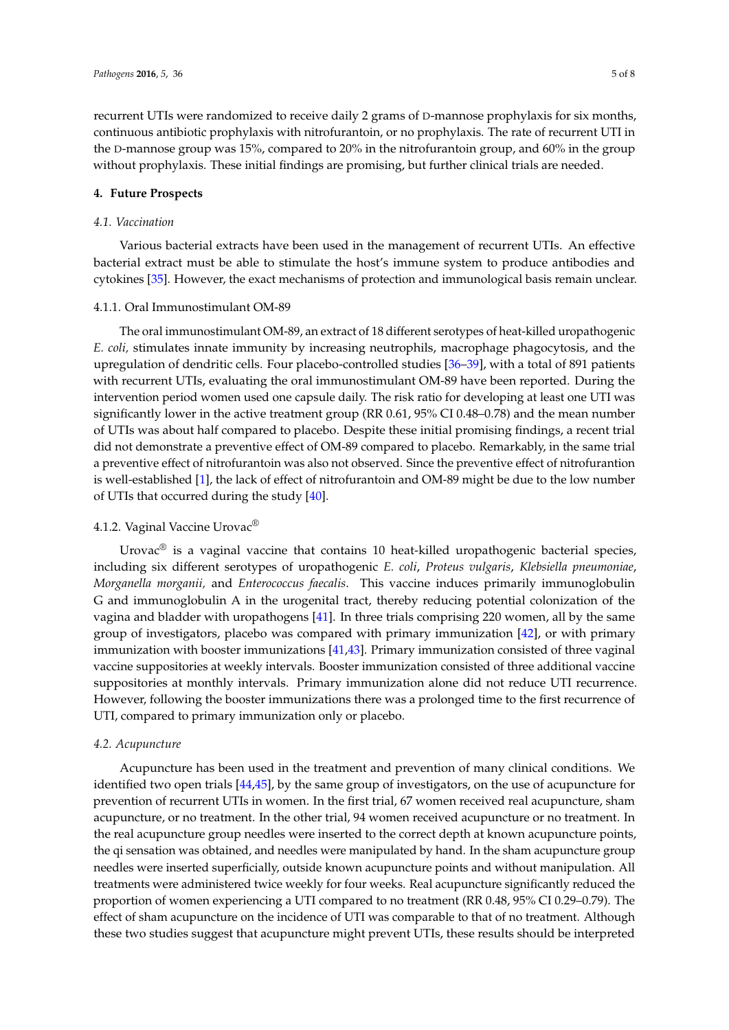recurrent UTIs were randomized to receive daily 2 grams of D-mannose prophylaxis for six months, continuous antibiotic prophylaxis with nitrofurantoin, or no prophylaxis. The rate of recurrent UTI in the D-mannose group was 15%, compared to 20% in the nitrofurantoin group, and 60% in the group without prophylaxis. These initial findings are promising, but further clinical trials are needed.

#### **4. Future Prospects**

## *4.1. Vaccination*

Various bacterial extracts have been used in the management of recurrent UTIs. An effective bacterial extract must be able to stimulate the host's immune system to produce antibodies and cytokines [\[35\]](#page-7-7). However, the exact mechanisms of protection and immunological basis remain unclear.

#### 4.1.1. Oral Immunostimulant OM-89

The oral immunostimulant OM-89, an extract of 18 different serotypes of heat-killed uropathogenic *E. coli,* stimulates innate immunity by increasing neutrophils, macrophage phagocytosis, and the upregulation of dendritic cells. Four placebo-controlled studies [\[36](#page-7-8)[–39\]](#page-7-9), with a total of 891 patients with recurrent UTIs, evaluating the oral immunostimulant OM-89 have been reported. During the intervention period women used one capsule daily. The risk ratio for developing at least one UTI was significantly lower in the active treatment group (RR 0.61, 95% CI 0.48–0.78) and the mean number of UTIs was about half compared to placebo. Despite these initial promising findings, a recent trial did not demonstrate a preventive effect of OM-89 compared to placebo. Remarkably, in the same trial a preventive effect of nitrofurantoin was also not observed. Since the preventive effect of nitrofurantion is well-established [\[1\]](#page-5-0), the lack of effect of nitrofurantoin and OM-89 might be due to the low number of UTIs that occurred during the study [\[40\]](#page-7-10).

# 4.1.2. Vaginal Vaccine Urovac®

Urovac<sup>®</sup> is a vaginal vaccine that contains 10 heat-killed uropathogenic bacterial species, including six different serotypes of uropathogenic *E. coli*, *Proteus vulgaris*, *Klebsiella pneumoniae*, *Morganella morganii,* and *Enterococcus faecalis*. This vaccine induces primarily immunoglobulin G and immunoglobulin A in the urogenital tract, thereby reducing potential colonization of the vagina and bladder with uropathogens [\[41\]](#page-7-11). In three trials comprising 220 women, all by the same group of investigators, placebo was compared with primary immunization [\[42\]](#page-7-12), or with primary immunization with booster immunizations [\[41,](#page-7-11)[43\]](#page-7-13). Primary immunization consisted of three vaginal vaccine suppositories at weekly intervals. Booster immunization consisted of three additional vaccine suppositories at monthly intervals. Primary immunization alone did not reduce UTI recurrence. However, following the booster immunizations there was a prolonged time to the first recurrence of UTI, compared to primary immunization only or placebo.

#### *4.2. Acupuncture*

Acupuncture has been used in the treatment and prevention of many clinical conditions. We identified two open trials [\[44](#page-7-14)[,45\]](#page-7-15), by the same group of investigators, on the use of acupuncture for prevention of recurrent UTIs in women. In the first trial, 67 women received real acupuncture, sham acupuncture, or no treatment. In the other trial, 94 women received acupuncture or no treatment. In the real acupuncture group needles were inserted to the correct depth at known acupuncture points, the qi sensation was obtained, and needles were manipulated by hand. In the sham acupuncture group needles were inserted superficially, outside known acupuncture points and without manipulation. All treatments were administered twice weekly for four weeks. Real acupuncture significantly reduced the proportion of women experiencing a UTI compared to no treatment (RR 0.48, 95% CI 0.29–0.79). The effect of sham acupuncture on the incidence of UTI was comparable to that of no treatment. Although these two studies suggest that acupuncture might prevent UTIs, these results should be interpreted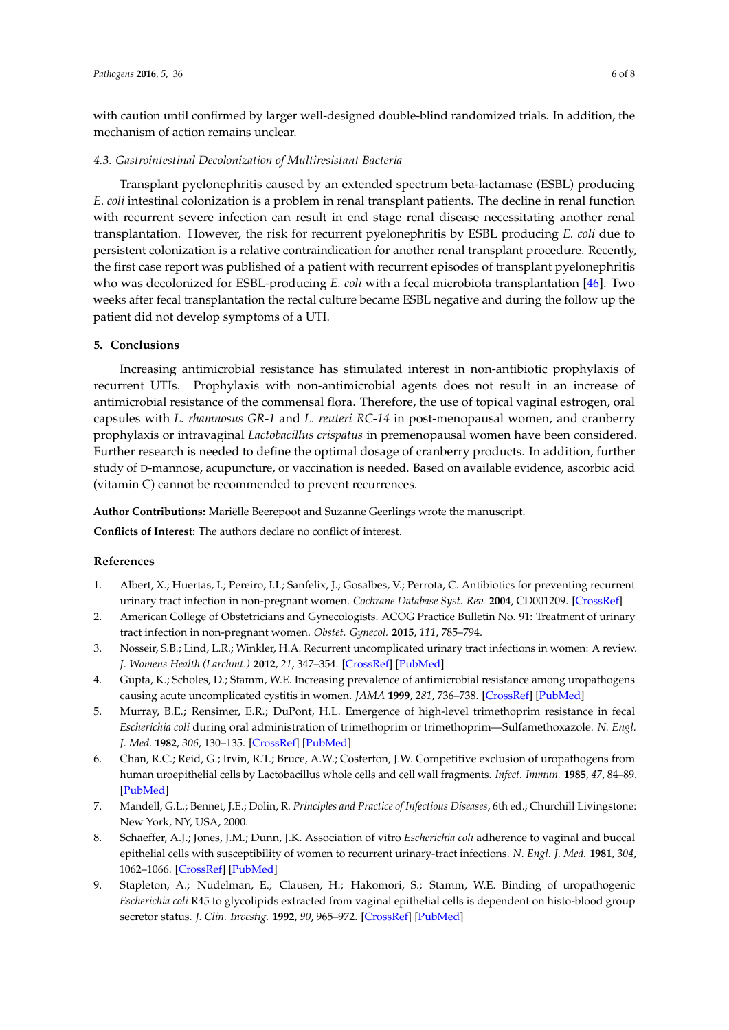with caution until confirmed by larger well-designed double-blind randomized trials. In addition, the mechanism of action remains unclear.

## *4.3. Gastrointestinal Decolonization of Multiresistant Bacteria*

Transplant pyelonephritis caused by an extended spectrum beta-lactamase (ESBL) producing *E*. *coli* intestinal colonization is a problem in renal transplant patients. The decline in renal function with recurrent severe infection can result in end stage renal disease necessitating another renal transplantation. However, the risk for recurrent pyelonephritis by ESBL producing *E. coli* due to persistent colonization is a relative contraindication for another renal transplant procedure. Recently, the first case report was published of a patient with recurrent episodes of transplant pyelonephritis who was decolonized for ESBL-producing *E. coli* with a fecal microbiota transplantation [\[46\]](#page-7-16). Two weeks after fecal transplantation the rectal culture became ESBL negative and during the follow up the patient did not develop symptoms of a UTI.

# **5. Conclusions**

Increasing antimicrobial resistance has stimulated interest in non-antibiotic prophylaxis of recurrent UTIs. Prophylaxis with non-antimicrobial agents does not result in an increase of antimicrobial resistance of the commensal flora. Therefore, the use of topical vaginal estrogen, oral capsules with *L. rhamnosus GR-1* and *L. reuteri RC-14* in post-menopausal women, and cranberry prophylaxis or intravaginal *Lactobacillus crispatus* in premenopausal women have been considered. Further research is needed to define the optimal dosage of cranberry products. In addition, further study of D-mannose, acupuncture, or vaccination is needed. Based on available evidence, ascorbic acid (vitamin C) cannot be recommended to prevent recurrences.

**Author Contributions:** Mariëlle Beerepoot and Suzanne Geerlings wrote the manuscript.

**Conflicts of Interest:** The authors declare no conflict of interest.

# **References**

- <span id="page-5-0"></span>1. Albert, X.; Huertas, I.; Pereiro, I.I.; Sanfelix, J.; Gosalbes, V.; Perrota, C. Antibiotics for preventing recurrent urinary tract infection in non-pregnant women. *Cochrane Database Syst. Rev.* **2004**, CD001209. [\[CrossRef\]](http://dx.doi.org/10.1002/14651858.CD001209.pub2)
- <span id="page-5-1"></span>2. American College of Obstetricians and Gynecologists. ACOG Practice Bulletin No. 91: Treatment of urinary tract infection in non-pregnant women. *Obstet. Gynecol.* **2015**, *111*, 785–794.
- <span id="page-5-2"></span>3. Nosseir, S.B.; Lind, L.R.; Winkler, H.A. Recurrent uncomplicated urinary tract infections in women: A review. *J. Womens Health (Larchmt.)* **2012**, *21*, 347–354. [\[CrossRef\]](http://dx.doi.org/10.1089/jwh.2011.3056) [\[PubMed\]](http://www.ncbi.nlm.nih.gov/pubmed/22136339)
- <span id="page-5-3"></span>4. Gupta, K.; Scholes, D.; Stamm, W.E. Increasing prevalence of antimicrobial resistance among uropathogens causing acute uncomplicated cystitis in women. *JAMA* **1999**, *281*, 736–738. [\[CrossRef\]](http://dx.doi.org/10.1001/jama.281.8.736) [\[PubMed\]](http://www.ncbi.nlm.nih.gov/pubmed/10052444)
- <span id="page-5-4"></span>5. Murray, B.E.; Rensimer, E.R.; DuPont, H.L. Emergence of high-level trimethoprim resistance in fecal *Escherichia coli* during oral administration of trimethoprim or trimethoprim—Sulfamethoxazole. *N. Engl. J. Med.* **1982**, *306*, 130–135. [\[CrossRef\]](http://dx.doi.org/10.1056/NEJM198201213060302) [\[PubMed\]](http://www.ncbi.nlm.nih.gov/pubmed/7033781)
- <span id="page-5-5"></span>6. Chan, R.C.; Reid, G.; Irvin, R.T.; Bruce, A.W.; Costerton, J.W. Competitive exclusion of uropathogens from human uroepithelial cells by Lactobacillus whole cells and cell wall fragments. *Infect. Immun.* **1985**, *47*, 84–89. [\[PubMed\]](http://www.ncbi.nlm.nih.gov/pubmed/3917428)
- <span id="page-5-6"></span>7. Mandell, G.L.; Bennet, J.E.; Dolin, R. *Principles and Practice of Infectious Diseases*, 6th ed.; Churchill Livingstone: New York, NY, USA, 2000.
- <span id="page-5-7"></span>8. Schaeffer, A.J.; Jones, J.M.; Dunn, J.K. Association of vitro *Escherichia coli* adherence to vaginal and buccal epithelial cells with susceptibility of women to recurrent urinary-tract infections. *N. Engl. J. Med.* **1981**, *304*, 1062–1066. [\[CrossRef\]](http://dx.doi.org/10.1056/NEJM198104303041802) [\[PubMed\]](http://www.ncbi.nlm.nih.gov/pubmed/7010174)
- <span id="page-5-8"></span>9. Stapleton, A.; Nudelman, E.; Clausen, H.; Hakomori, S.; Stamm, W.E. Binding of uropathogenic *Escherichia coli* R45 to glycolipids extracted from vaginal epithelial cells is dependent on histo-blood group secretor status. *J. Clin. Investig.* **1992**, *90*, 965–972. [\[CrossRef\]](http://dx.doi.org/10.1172/JCI115973) [\[PubMed\]](http://www.ncbi.nlm.nih.gov/pubmed/1522244)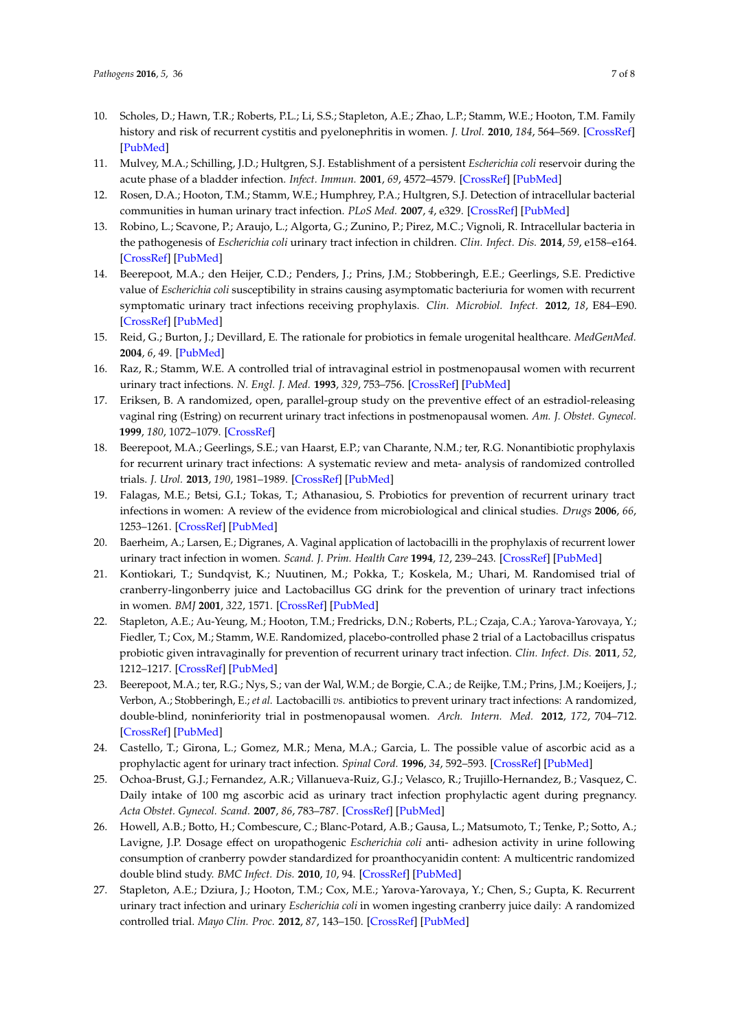- <span id="page-6-0"></span>10. Scholes, D.; Hawn, T.R.; Roberts, P.L.; Li, S.S.; Stapleton, A.E.; Zhao, L.P.; Stamm, W.E.; Hooton, T.M. Family history and risk of recurrent cystitis and pyelonephritis in women. *J. Urol.* **2010**, *184*, 564–569. [\[CrossRef\]](http://dx.doi.org/10.1016/j.juro.2010.03.139) [\[PubMed\]](http://www.ncbi.nlm.nih.gov/pubmed/20639019)
- <span id="page-6-1"></span>11. Mulvey, M.A.; Schilling, J.D.; Hultgren, S.J. Establishment of a persistent *Escherichia coli* reservoir during the acute phase of a bladder infection. *Infect. Immun.* **2001**, *69*, 4572–4579. [\[CrossRef\]](http://dx.doi.org/10.1128/IAI.69.7.4572-4579.2001) [\[PubMed\]](http://www.ncbi.nlm.nih.gov/pubmed/11402001)
- <span id="page-6-2"></span>12. Rosen, D.A.; Hooton, T.M.; Stamm, W.E.; Humphrey, P.A.; Hultgren, S.J. Detection of intracellular bacterial communities in human urinary tract infection. *PLoS Med.* **2007**, *4*, e329. [\[CrossRef\]](http://dx.doi.org/10.1371/journal.pmed.0040329) [\[PubMed\]](http://www.ncbi.nlm.nih.gov/pubmed/18092884)
- <span id="page-6-3"></span>13. Robino, L.; Scavone, P.; Araujo, L.; Algorta, G.; Zunino, P.; Pirez, M.C.; Vignoli, R. Intracellular bacteria in the pathogenesis of *Escherichia coli* urinary tract infection in children. *Clin. Infect. Dis.* **2014**, *59*, e158–e164. [\[CrossRef\]](http://dx.doi.org/10.1093/cid/ciu634) [\[PubMed\]](http://www.ncbi.nlm.nih.gov/pubmed/25091303)
- <span id="page-6-4"></span>14. Beerepoot, M.A.; den Heijer, C.D.; Penders, J.; Prins, J.M.; Stobberingh, E.E.; Geerlings, S.E. Predictive value of *Escherichia coli* susceptibility in strains causing asymptomatic bacteriuria for women with recurrent symptomatic urinary tract infections receiving prophylaxis. *Clin. Microbiol. Infect.* **2012**, *18*, E84–E90. [\[CrossRef\]](http://dx.doi.org/10.1111/j.1469-0691.2012.03773.x) [\[PubMed\]](http://www.ncbi.nlm.nih.gov/pubmed/22329638)
- <span id="page-6-5"></span>15. Reid, G.; Burton, J.; Devillard, E. The rationale for probiotics in female urogenital healthcare. *MedGenMed.* **2004**, *6*, 49. [\[PubMed\]](http://www.ncbi.nlm.nih.gov/pubmed/15208560)
- <span id="page-6-6"></span>16. Raz, R.; Stamm, W.E. A controlled trial of intravaginal estriol in postmenopausal women with recurrent urinary tract infections. *N. Engl. J. Med.* **1993**, *329*, 753–756. [\[CrossRef\]](http://dx.doi.org/10.1056/NEJM199309093291102) [\[PubMed\]](http://www.ncbi.nlm.nih.gov/pubmed/8350884)
- <span id="page-6-7"></span>17. Eriksen, B. A randomized, open, parallel-group study on the preventive effect of an estradiol-releasing vaginal ring (Estring) on recurrent urinary tract infections in postmenopausal women. *Am. J. Obstet. Gynecol.* **1999**, *180*, 1072–1079. [\[CrossRef\]](http://dx.doi.org/10.1016/S0002-9378(99)70597-1)
- <span id="page-6-8"></span>18. Beerepoot, M.A.; Geerlings, S.E.; van Haarst, E.P.; van Charante, N.M.; ter, R.G. Nonantibiotic prophylaxis for recurrent urinary tract infections: A systematic review and meta- analysis of randomized controlled trials. *J. Urol.* **2013**, *190*, 1981–1989. [\[CrossRef\]](http://dx.doi.org/10.1016/j.juro.2013.04.142) [\[PubMed\]](http://www.ncbi.nlm.nih.gov/pubmed/23867306)
- <span id="page-6-9"></span>19. Falagas, M.E.; Betsi, G.I.; Tokas, T.; Athanasiou, S. Probiotics for prevention of recurrent urinary tract infections in women: A review of the evidence from microbiological and clinical studies. *Drugs* **2006**, *66*, 1253–1261. [\[CrossRef\]](http://dx.doi.org/10.2165/00003495-200666090-00007) [\[PubMed\]](http://www.ncbi.nlm.nih.gov/pubmed/16827601)
- <span id="page-6-10"></span>20. Baerheim, A.; Larsen, E.; Digranes, A. Vaginal application of lactobacilli in the prophylaxis of recurrent lower urinary tract infection in women. *Scand. J. Prim. Health Care* **1994**, *12*, 239–243. [\[CrossRef\]](http://dx.doi.org/10.3109/02813439409029247) [\[PubMed\]](http://www.ncbi.nlm.nih.gov/pubmed/7863140)
- <span id="page-6-11"></span>21. Kontiokari, T.; Sundqvist, K.; Nuutinen, M.; Pokka, T.; Koskela, M.; Uhari, M. Randomised trial of cranberry-lingonberry juice and Lactobacillus GG drink for the prevention of urinary tract infections in women. *BMJ* **2001**, *322*, 1571. [\[CrossRef\]](http://dx.doi.org/10.1136/bmj.322.7302.1571) [\[PubMed\]](http://www.ncbi.nlm.nih.gov/pubmed/11431298)
- <span id="page-6-12"></span>22. Stapleton, A.E.; Au-Yeung, M.; Hooton, T.M.; Fredricks, D.N.; Roberts, P.L.; Czaja, C.A.; Yarova-Yarovaya, Y.; Fiedler, T.; Cox, M.; Stamm, W.E. Randomized, placebo-controlled phase 2 trial of a Lactobacillus crispatus probiotic given intravaginally for prevention of recurrent urinary tract infection. *Clin. Infect. Dis.* **2011**, *52*, 1212–1217. [\[CrossRef\]](http://dx.doi.org/10.1093/cid/cir183) [\[PubMed\]](http://www.ncbi.nlm.nih.gov/pubmed/21498386)
- <span id="page-6-13"></span>23. Beerepoot, M.A.; ter, R.G.; Nys, S.; van der Wal, W.M.; de Borgie, C.A.; de Reijke, T.M.; Prins, J.M.; Koeijers, J.; Verbon, A.; Stobberingh, E.; *et al.* Lactobacilli *vs.* antibiotics to prevent urinary tract infections: A randomized, double-blind, noninferiority trial in postmenopausal women. *Arch. Intern. Med.* **2012**, *172*, 704–712. [\[CrossRef\]](http://dx.doi.org/10.1001/archinternmed.2012.777) [\[PubMed\]](http://www.ncbi.nlm.nih.gov/pubmed/22782199)
- <span id="page-6-14"></span>24. Castello, T.; Girona, L.; Gomez, M.R.; Mena, M.A.; Garcia, L. The possible value of ascorbic acid as a prophylactic agent for urinary tract infection. *Spinal Cord.* **1996**, *34*, 592–593. [\[CrossRef\]](http://dx.doi.org/10.1038/sc.1996.105) [\[PubMed\]](http://www.ncbi.nlm.nih.gov/pubmed/8896124)
- <span id="page-6-15"></span>25. Ochoa-Brust, G.J.; Fernandez, A.R.; Villanueva-Ruiz, G.J.; Velasco, R.; Trujillo-Hernandez, B.; Vasquez, C. Daily intake of 100 mg ascorbic acid as urinary tract infection prophylactic agent during pregnancy. *Acta Obstet. Gynecol. Scand.* **2007**, *86*, 783–787. [\[CrossRef\]](http://dx.doi.org/10.1080/00016340701273189) [\[PubMed\]](http://www.ncbi.nlm.nih.gov/pubmed/17611821)
- <span id="page-6-16"></span>26. Howell, A.B.; Botto, H.; Combescure, C.; Blanc-Potard, A.B.; Gausa, L.; Matsumoto, T.; Tenke, P.; Sotto, A.; Lavigne, J.P. Dosage effect on uropathogenic *Escherichia coli* anti- adhesion activity in urine following consumption of cranberry powder standardized for proanthocyanidin content: A multicentric randomized double blind study. *BMC Infect. Dis.* **2010**, *10*, 94. [\[CrossRef\]](http://dx.doi.org/10.1186/1471-2334-10-94) [\[PubMed\]](http://www.ncbi.nlm.nih.gov/pubmed/20398248)
- <span id="page-6-17"></span>27. Stapleton, A.E.; Dziura, J.; Hooton, T.M.; Cox, M.E.; Yarova-Yarovaya, Y.; Chen, S.; Gupta, K. Recurrent urinary tract infection and urinary *Escherichia coli* in women ingesting cranberry juice daily: A randomized controlled trial. *Mayo Clin. Proc.* **2012**, *87*, 143–150. [\[CrossRef\]](http://dx.doi.org/10.1016/j.mayocp.2011.10.006) [\[PubMed\]](http://www.ncbi.nlm.nih.gov/pubmed/22305026)